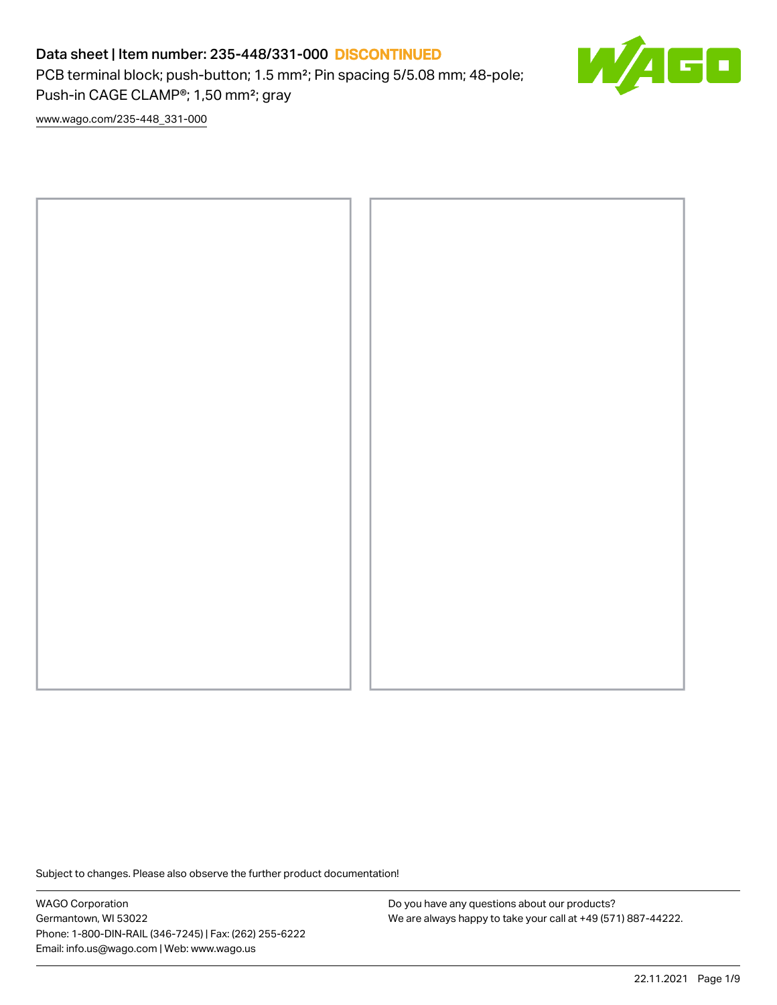PCB terminal block; push-button; 1.5 mm²; Pin spacing 5/5.08 mm; 48-pole; Push-in CAGE CLAMP®; 1,50 mm²; gray

60

[www.wago.com/235-448\\_331-000](http://www.wago.com/235-448_331-000)



Subject to changes. Please also observe the further product documentation!

WAGO Corporation Germantown, WI 53022 Phone: 1-800-DIN-RAIL (346-7245) | Fax: (262) 255-6222 Email: info.us@wago.com | Web: www.wago.us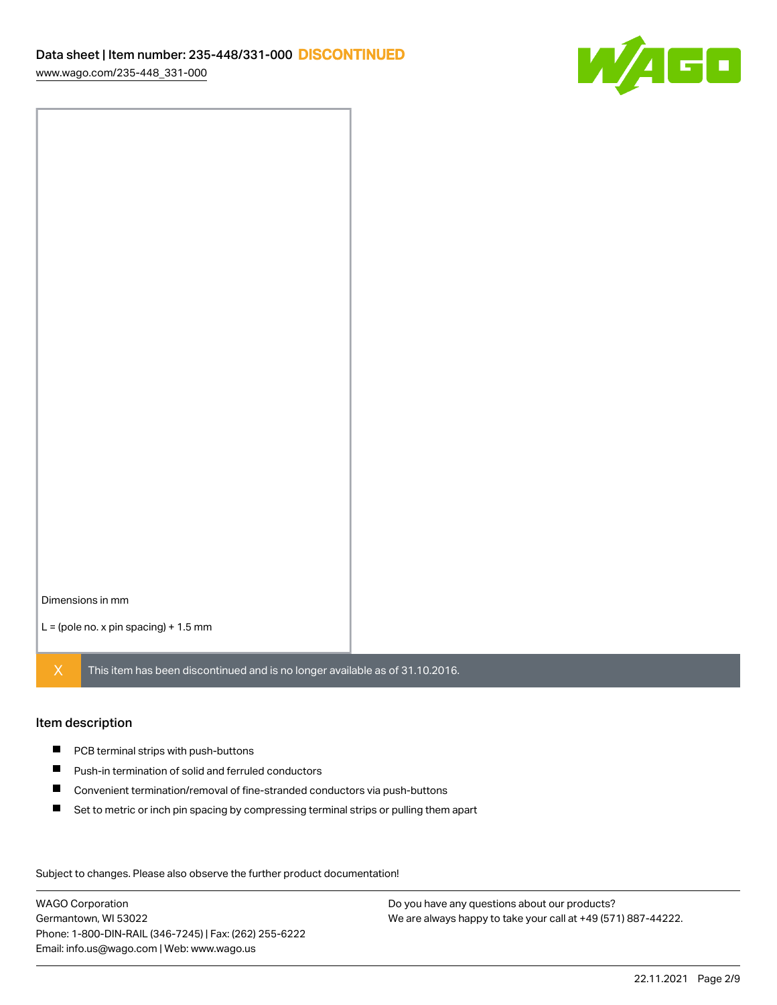

Dimensions in mm

 $L =$  (pole no. x pin spacing) + 1.5 mm

 $X$  This item has been discontinued and is no longer available as of 31.10.2016.

#### Item description

- **PCB terminal strips with push-buttons**
- $\blacksquare$ Push-in termination of solid and ferruled conductors
- $\blacksquare$ Convenient termination/removal of fine-stranded conductors via push-buttons
- $\blacksquare$ Set to metric or inch pin spacing by compressing terminal strips or pulling them apart

Subject to changes. Please also observe the further product documentation! Data

WAGO Corporation Germantown, WI 53022 Phone: 1-800-DIN-RAIL (346-7245) | Fax: (262) 255-6222 Email: info.us@wago.com | Web: www.wago.us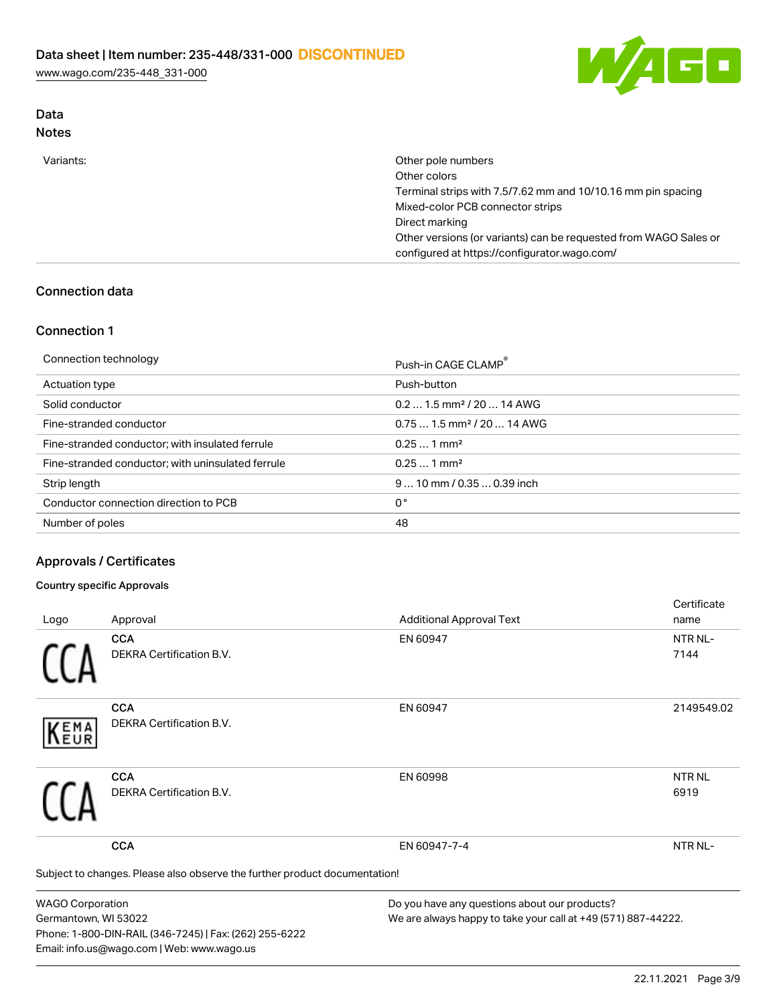[www.wago.com/235-448\\_331-000](http://www.wago.com/235-448_331-000)



### Data Notes

| Variants: | Other pole numbers                                               |
|-----------|------------------------------------------------------------------|
|           | Other colors                                                     |
|           | Terminal strips with 7.5/7.62 mm and 10/10.16 mm pin spacing     |
|           | Mixed-color PCB connector strips                                 |
|           | Direct marking                                                   |
|           | Other versions (or variants) can be requested from WAGO Sales or |
|           | configured at https://configurator.wago.com/                     |
|           |                                                                  |

## Connection data

### Connection 1

| Connection technology                             | Push-in CAGE CLAMP®                    |
|---------------------------------------------------|----------------------------------------|
| Actuation type                                    | Push-button                            |
| Solid conductor                                   | $0.21.5$ mm <sup>2</sup> / 20  14 AWG  |
| Fine-stranded conductor                           | $0.751.5$ mm <sup>2</sup> / 20  14 AWG |
| Fine-stranded conductor; with insulated ferrule   | $0.251$ mm <sup>2</sup>                |
| Fine-stranded conductor; with uninsulated ferrule | $0.251$ mm <sup>2</sup>                |
| Strip length                                      | $910$ mm / 0.35  0.39 inch             |
| Conductor connection direction to PCB             | 0°                                     |
| Number of poles                                   | 48                                     |

### Approvals / Certificates

#### Country specific Approvals

Phone: 1-800-DIN-RAIL (346-7245) | Fax: (262) 255-6222

Email: info.us@wago.com | Web: www.wago.us

|                         |                                                                            |                                                               | Certificate   |
|-------------------------|----------------------------------------------------------------------------|---------------------------------------------------------------|---------------|
| Logo                    | Approval                                                                   | <b>Additional Approval Text</b>                               | name          |
|                         | <b>CCA</b>                                                                 | EN 60947                                                      | NTR NL-       |
|                         | <b>DEKRA Certification B.V.</b>                                            |                                                               | 7144          |
|                         | <b>CCA</b>                                                                 | EN 60947                                                      | 2149549.02    |
| KEMA                    | <b>DEKRA Certification B.V.</b>                                            |                                                               |               |
|                         | <b>CCA</b>                                                                 | EN 60998                                                      | <b>NTR NL</b> |
|                         | <b>DEKRA Certification B.V.</b>                                            |                                                               | 6919          |
|                         | <b>CCA</b>                                                                 | EN 60947-7-4                                                  | NTR NL-       |
|                         | Subject to changes. Please also observe the further product documentation! |                                                               |               |
| <b>WAGO Corporation</b> |                                                                            | Do you have any questions about our products?                 |               |
| Germantown, WI 53022    |                                                                            | We are always happy to take your call at +49 (571) 887-44222. |               |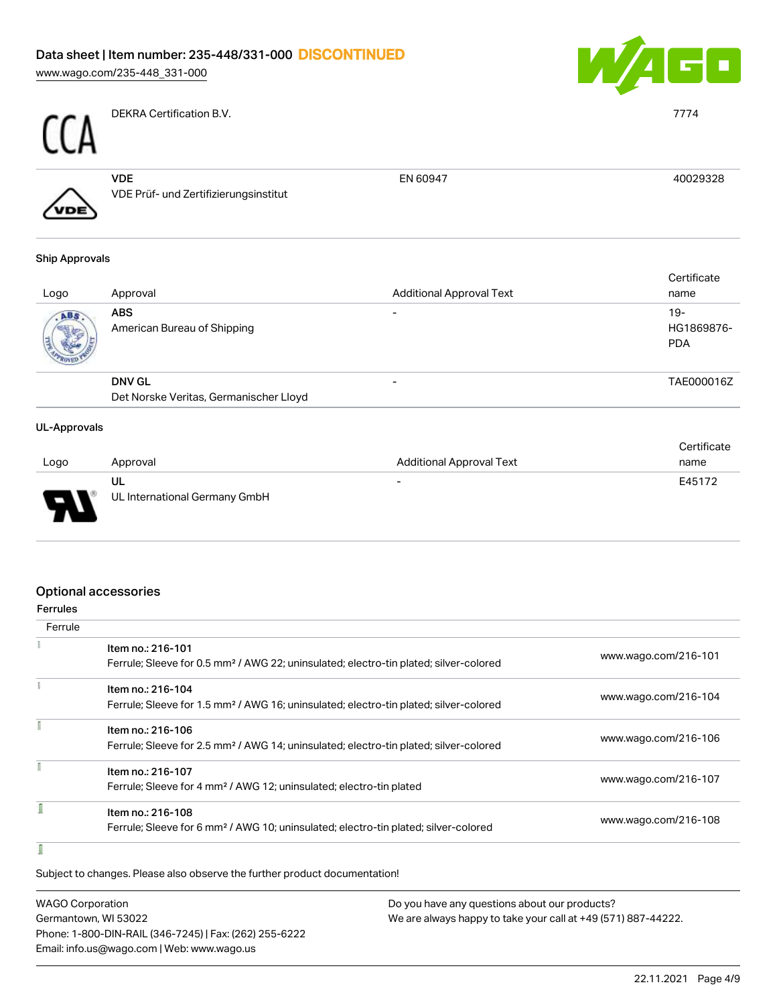[www.wago.com/235-448\\_331-000](http://www.wago.com/235-448_331-000)



EN 60947 40029328



DEKRA Certification B.V. 7774



VDE VDE Prüf- und Zertifizierungsinstitut

### Ship Approvals

| Logo | Approval                                  | <b>Additional Approval Text</b> | Certificate<br>name             |
|------|-------------------------------------------|---------------------------------|---------------------------------|
| ABS  | <b>ABS</b><br>American Bureau of Shipping |                                 | 19-<br>HG1869876-<br><b>PDA</b> |
|      | <b>DNV GL</b>                             |                                 | TAE000016Z                      |
|      | Det Norske Veritas, Germanischer Lloyd    |                                 |                                 |

### UL-Approvals

. .

|      |                               |                                 | Certificate |
|------|-------------------------------|---------------------------------|-------------|
| Logo | Approval                      | <b>Additional Approval Text</b> | name        |
|      | ul                            | $\overline{\phantom{0}}$        | E45172      |
| J    | UL International Germany GmbH |                                 |             |

### Optional accessories

| Ferrule |                                                                                                                        |                      |
|---------|------------------------------------------------------------------------------------------------------------------------|----------------------|
|         | Item no.: 216-101<br>Ferrule; Sleeve for 0.5 mm <sup>2</sup> / AWG 22; uninsulated; electro-tin plated; silver-colored | www.wago.com/216-101 |
|         | Item no.: 216-104                                                                                                      |                      |
|         | Ferrule; Sleeve for 1.5 mm <sup>2</sup> / AWG 16; uninsulated; electro-tin plated; silver-colored                      | www.wago.com/216-104 |
|         | Item no.: 216-106                                                                                                      | www.wago.com/216-106 |
|         | Ferrule; Sleeve for 2.5 mm <sup>2</sup> / AWG 14; uninsulated; electro-tin plated; silver-colored                      |                      |
|         | Item no.: 216-107                                                                                                      | www.wago.com/216-107 |
|         | Ferrule; Sleeve for 4 mm <sup>2</sup> / AWG 12; uninsulated; electro-tin plated                                        |                      |
|         | Item no.: 216-108                                                                                                      | www.wago.com/216-108 |
|         | Ferrule; Sleeve for 6 mm <sup>2</sup> / AWG 10; uninsulated; electro-tin plated; silver-colored                        |                      |
|         |                                                                                                                        |                      |

Subject to changes. Please also observe the further product documentation!

| WAGO Corporation                                       | Do you have any questions about our products?                 |
|--------------------------------------------------------|---------------------------------------------------------------|
| Germantown, WI 53022                                   | We are always happy to take your call at +49 (571) 887-44222. |
| Phone: 1-800-DIN-RAIL (346-7245)   Fax: (262) 255-6222 |                                                               |
| Email: info.us@wago.com   Web: www.wago.us             |                                                               |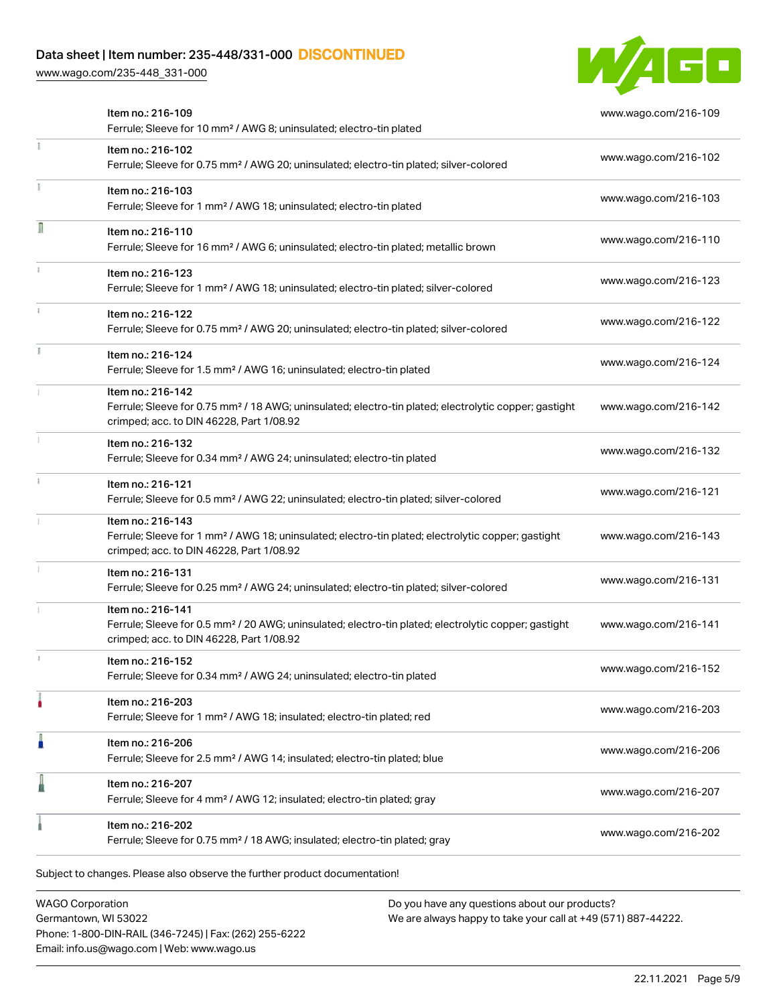[www.wago.com/235-448\\_331-000](http://www.wago.com/235-448_331-000)



|    | Item no.: 216-109<br>Ferrule; Sleeve for 10 mm <sup>2</sup> / AWG 8; uninsulated; electro-tin plated                                                                               | www.wago.com/216-109 |
|----|------------------------------------------------------------------------------------------------------------------------------------------------------------------------------------|----------------------|
|    | Item no.: 216-102<br>Ferrule; Sleeve for 0.75 mm <sup>2</sup> / AWG 20; uninsulated; electro-tin plated; silver-colored                                                            | www.wago.com/216-102 |
|    | Item no.: 216-103<br>Ferrule; Sleeve for 1 mm <sup>2</sup> / AWG 18; uninsulated; electro-tin plated                                                                               | www.wago.com/216-103 |
| Л  | Item no.: 216-110<br>Ferrule; Sleeve for 16 mm <sup>2</sup> / AWG 6; uninsulated; electro-tin plated; metallic brown                                                               | www.wago.com/216-110 |
|    | Item no.: 216-123<br>Ferrule; Sleeve for 1 mm <sup>2</sup> / AWG 18; uninsulated; electro-tin plated; silver-colored                                                               | www.wago.com/216-123 |
|    | Item no.: 216-122<br>Ferrule; Sleeve for 0.75 mm <sup>2</sup> / AWG 20; uninsulated; electro-tin plated; silver-colored                                                            | www.wago.com/216-122 |
| J. | Item no.: 216-124<br>Ferrule; Sleeve for 1.5 mm <sup>2</sup> / AWG 16; uninsulated; electro-tin plated                                                                             | www.wago.com/216-124 |
|    | Item no.: 216-142<br>Ferrule; Sleeve for 0.75 mm <sup>2</sup> / 18 AWG; uninsulated; electro-tin plated; electrolytic copper; gastight<br>crimped; acc. to DIN 46228, Part 1/08.92 | www.wago.com/216-142 |
|    | Item no.: 216-132<br>Ferrule; Sleeve for 0.34 mm <sup>2</sup> / AWG 24; uninsulated; electro-tin plated                                                                            | www.wago.com/216-132 |
|    | Item no.: 216-121<br>Ferrule; Sleeve for 0.5 mm <sup>2</sup> / AWG 22; uninsulated; electro-tin plated; silver-colored                                                             | www.wago.com/216-121 |
|    | Item no.: 216-143<br>Ferrule; Sleeve for 1 mm <sup>2</sup> / AWG 18; uninsulated; electro-tin plated; electrolytic copper; gastight<br>crimped; acc. to DIN 46228, Part 1/08.92    | www.wago.com/216-143 |
|    | Item no.: 216-131<br>Ferrule; Sleeve for 0.25 mm <sup>2</sup> / AWG 24; uninsulated; electro-tin plated; silver-colored                                                            | www.wago.com/216-131 |
|    | Item no.: 216-141<br>Ferrule; Sleeve for 0.5 mm <sup>2</sup> / 20 AWG; uninsulated; electro-tin plated; electrolytic copper; gastight<br>crimped; acc. to DIN 46228, Part 1/08.92  | www.wago.com/216-141 |
|    | Item no.: 216-152<br>Ferrule; Sleeve for 0.34 mm <sup>2</sup> / AWG 24; uninsulated; electro-tin plated                                                                            | www.wago.com/216-152 |
|    | Item no.: 216-203<br>Ferrule; Sleeve for 1 mm <sup>2</sup> / AWG 18; insulated; electro-tin plated; red                                                                            | www.wago.com/216-203 |
| Ä  | Item no.: 216-206<br>Ferrule; Sleeve for 2.5 mm <sup>2</sup> / AWG 14; insulated; electro-tin plated; blue                                                                         | www.wago.com/216-206 |
|    | Item no.: 216-207<br>Ferrule; Sleeve for 4 mm <sup>2</sup> / AWG 12; insulated; electro-tin plated; gray                                                                           | www.wago.com/216-207 |
|    | Item no.: 216-202<br>Ferrule; Sleeve for 0.75 mm <sup>2</sup> / 18 AWG; insulated; electro-tin plated; gray                                                                        | www.wago.com/216-202 |

WAGO Corporation Germantown, WI 53022 Phone: 1-800-DIN-RAIL (346-7245) | Fax: (262) 255-6222 Email: info.us@wago.com | Web: www.wago.us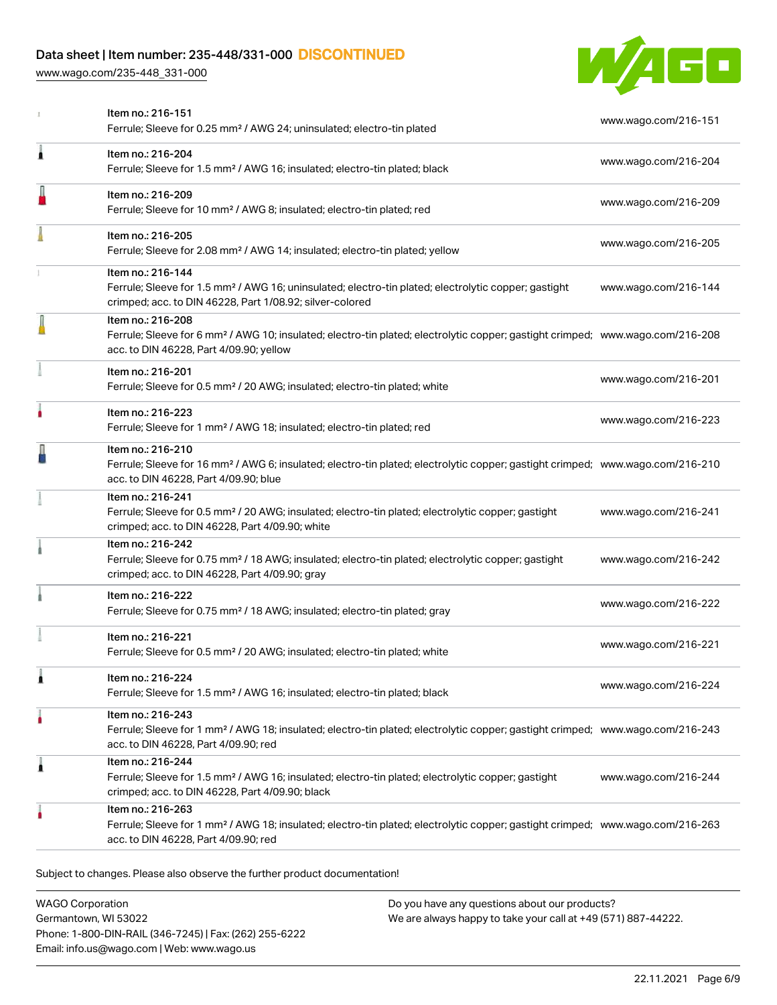[www.wago.com/235-448\\_331-000](http://www.wago.com/235-448_331-000)



|   | Item no.: 216-151<br>Ferrule; Sleeve for 0.25 mm <sup>2</sup> / AWG 24; uninsulated; electro-tin plated                                                                                                    | www.wago.com/216-151 |
|---|------------------------------------------------------------------------------------------------------------------------------------------------------------------------------------------------------------|----------------------|
| Â | Item no.: 216-204<br>Ferrule; Sleeve for 1.5 mm <sup>2</sup> / AWG 16; insulated; electro-tin plated; black                                                                                                | www.wago.com/216-204 |
|   | Item no.: 216-209<br>Ferrule; Sleeve for 10 mm <sup>2</sup> / AWG 8; insulated; electro-tin plated; red                                                                                                    | www.wago.com/216-209 |
|   | Item no.: 216-205<br>Ferrule; Sleeve for 2.08 mm <sup>2</sup> / AWG 14; insulated; electro-tin plated; yellow                                                                                              | www.wago.com/216-205 |
|   | Item no.: 216-144<br>Ferrule; Sleeve for 1.5 mm <sup>2</sup> / AWG 16; uninsulated; electro-tin plated; electrolytic copper; gastight<br>crimped; acc. to DIN 46228, Part 1/08.92; silver-colored          | www.wago.com/216-144 |
|   | Item no.: 216-208<br>Ferrule; Sleeve for 6 mm <sup>2</sup> / AWG 10; insulated; electro-tin plated; electrolytic copper; gastight crimped; www.wago.com/216-208<br>acc. to DIN 46228, Part 4/09.90; yellow |                      |
|   | Item no.: 216-201<br>Ferrule; Sleeve for 0.5 mm <sup>2</sup> / 20 AWG; insulated; electro-tin plated; white                                                                                                | www.wago.com/216-201 |
|   | Item no.: 216-223<br>Ferrule; Sleeve for 1 mm <sup>2</sup> / AWG 18; insulated; electro-tin plated; red                                                                                                    | www.wago.com/216-223 |
|   | Item no.: 216-210<br>Ferrule; Sleeve for 16 mm <sup>2</sup> / AWG 6; insulated; electro-tin plated; electrolytic copper; gastight crimped; www.wago.com/216-210<br>acc. to DIN 46228, Part 4/09.90; blue   |                      |
|   | Item no.: 216-241<br>Ferrule; Sleeve for 0.5 mm <sup>2</sup> / 20 AWG; insulated; electro-tin plated; electrolytic copper; gastight<br>crimped; acc. to DIN 46228, Part 4/09.90; white                     | www.wago.com/216-241 |
|   | Item no.: 216-242<br>Ferrule; Sleeve for 0.75 mm <sup>2</sup> / 18 AWG; insulated; electro-tin plated; electrolytic copper; gastight<br>crimped; acc. to DIN 46228, Part 4/09.90; gray                     | www.wago.com/216-242 |
|   | Item no.: 216-222<br>Ferrule; Sleeve for 0.75 mm <sup>2</sup> / 18 AWG; insulated; electro-tin plated; gray                                                                                                | www.wago.com/216-222 |
|   | Item no.: 216-221<br>Ferrule; Sleeve for 0.5 mm <sup>2</sup> / 20 AWG; insulated; electro-tin plated; white                                                                                                | www.wago.com/216-221 |
|   | Item no.: 216-224<br>Ferrule; Sleeve for 1.5 mm <sup>2</sup> / AWG 16; insulated; electro-tin plated; black                                                                                                | www.wago.com/216-224 |
| ٠ | Item no.: 216-243<br>Ferrule; Sleeve for 1 mm <sup>2</sup> / AWG 18; insulated; electro-tin plated; electrolytic copper; gastight crimped; www.wago.com/216-243<br>acc. to DIN 46228, Part 4/09.90; red    |                      |
| Â | Item no.: 216-244<br>Ferrule; Sleeve for 1.5 mm <sup>2</sup> / AWG 16; insulated; electro-tin plated; electrolytic copper; gastight<br>crimped; acc. to DIN 46228, Part 4/09.90; black                     | www.wago.com/216-244 |
|   | Item no.: 216-263<br>Ferrule; Sleeve for 1 mm <sup>2</sup> / AWG 18; insulated; electro-tin plated; electrolytic copper; gastight crimped; www.wago.com/216-263<br>acc. to DIN 46228, Part 4/09.90; red    |                      |
|   |                                                                                                                                                                                                            |                      |

Subject to changes. Please also observe the further product documentation!

WAGO Corporation Germantown, WI 53022 Phone: 1-800-DIN-RAIL (346-7245) | Fax: (262) 255-6222 Email: info.us@wago.com | Web: www.wago.us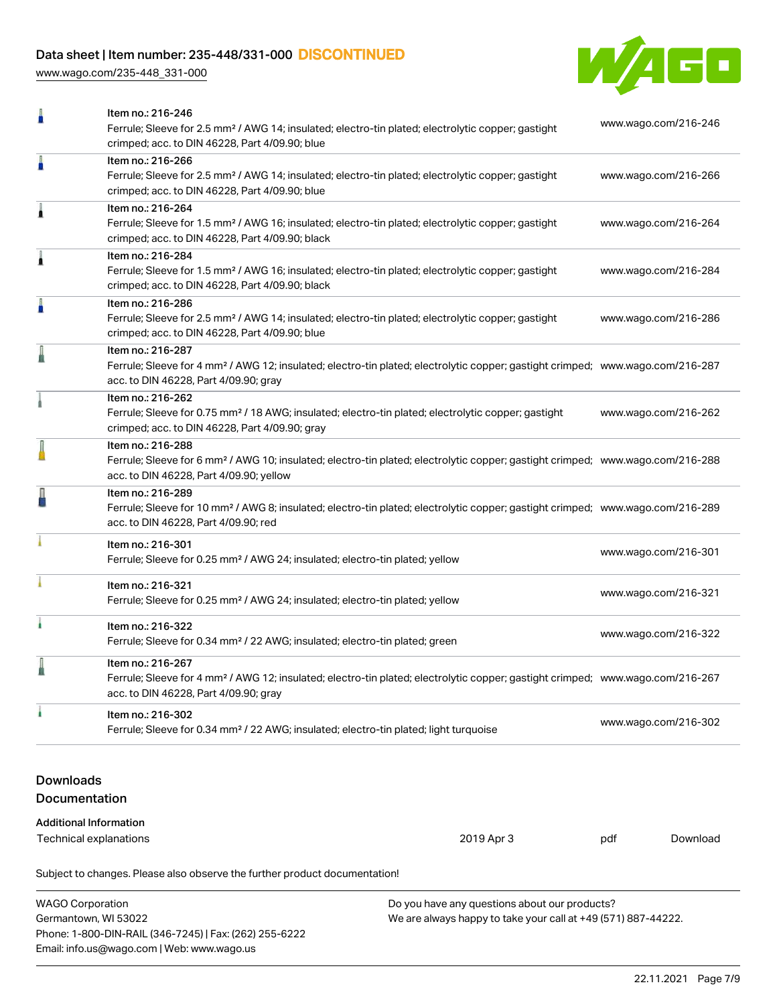[www.wago.com/235-448\\_331-000](http://www.wago.com/235-448_331-000)



|                                                         | Item no.: 216-246<br>Ferrule; Sleeve for 2.5 mm <sup>2</sup> / AWG 14; insulated; electro-tin plated; electrolytic copper; gastight                                                                                                     |            |                      | www.wago.com/216-246 |  |
|---------------------------------------------------------|-----------------------------------------------------------------------------------------------------------------------------------------------------------------------------------------------------------------------------------------|------------|----------------------|----------------------|--|
| I                                                       | crimped; acc. to DIN 46228, Part 4/09.90; blue<br>Item no.: 216-266<br>Ferrule; Sleeve for 2.5 mm <sup>2</sup> / AWG 14; insulated; electro-tin plated; electrolytic copper; gastight<br>crimped; acc. to DIN 46228, Part 4/09.90; blue |            | www.wago.com/216-266 |                      |  |
| À                                                       | Item no.: 216-264<br>Ferrule; Sleeve for 1.5 mm <sup>2</sup> / AWG 16; insulated; electro-tin plated; electrolytic copper; gastight<br>www.wago.com/216-264<br>crimped; acc. to DIN 46228, Part 4/09.90; black                          |            |                      |                      |  |
| ۸                                                       | Item no.: 216-284<br>Ferrule; Sleeve for 1.5 mm <sup>2</sup> / AWG 16; insulated; electro-tin plated; electrolytic copper; gastight<br>crimped; acc. to DIN 46228, Part 4/09.90; black                                                  |            | www.wago.com/216-284 |                      |  |
|                                                         | Item no.: 216-286<br>Ferrule; Sleeve for 2.5 mm <sup>2</sup> / AWG 14; insulated; electro-tin plated; electrolytic copper; gastight<br>crimped; acc. to DIN 46228, Part 4/09.90; blue                                                   |            | www.wago.com/216-286 |                      |  |
|                                                         | Item no.: 216-287<br>Ferrule; Sleeve for 4 mm <sup>2</sup> / AWG 12; insulated; electro-tin plated; electrolytic copper; gastight crimped; www.wago.com/216-287<br>acc. to DIN 46228, Part 4/09.90; gray                                |            |                      |                      |  |
|                                                         | Item no.: 216-262<br>Ferrule; Sleeve for 0.75 mm <sup>2</sup> / 18 AWG; insulated; electro-tin plated; electrolytic copper; gastight<br>crimped; acc. to DIN 46228, Part 4/09.90; gray                                                  |            | www.wago.com/216-262 |                      |  |
|                                                         | Item no.: 216-288<br>Ferrule; Sleeve for 6 mm <sup>2</sup> / AWG 10; insulated; electro-tin plated; electrolytic copper; gastight crimped; www.wago.com/216-288<br>acc. to DIN 46228, Part 4/09.90; yellow                              |            |                      |                      |  |
|                                                         | Item no.: 216-289<br>Ferrule; Sleeve for 10 mm <sup>2</sup> / AWG 8; insulated; electro-tin plated; electrolytic copper; gastight crimped; www.wago.com/216-289<br>acc. to DIN 46228, Part 4/09.90; red                                 |            |                      |                      |  |
|                                                         | Item no.: 216-301<br>Ferrule; Sleeve for 0.25 mm <sup>2</sup> / AWG 24; insulated; electro-tin plated; yellow                                                                                                                           |            | www.wago.com/216-301 |                      |  |
|                                                         | Item no.: 216-321<br>www.wago.com/216-321<br>Ferrule; Sleeve for 0.25 mm <sup>2</sup> / AWG 24; insulated; electro-tin plated; yellow                                                                                                   |            |                      |                      |  |
|                                                         | Item no.: 216-322<br>Ferrule; Sleeve for 0.34 mm <sup>2</sup> / 22 AWG; insulated; electro-tin plated; green                                                                                                                            |            | www.wago.com/216-322 |                      |  |
|                                                         | Item no.: 216-267<br>Ferrule; Sleeve for 4 mm <sup>2</sup> / AWG 12; insulated; electro-tin plated; electrolytic copper; gastight crimped; www.wago.com/216-267<br>acc. to DIN 46228, Part 4/09.90; gray                                |            |                      |                      |  |
| i.                                                      | Item no.: 216-302<br>www.wago.com/216-302<br>Ferrule; Sleeve for 0.34 mm <sup>2</sup> / 22 AWG; insulated; electro-tin plated; light turquoise                                                                                          |            |                      |                      |  |
| <b>Downloads</b><br>Documentation                       |                                                                                                                                                                                                                                         |            |                      |                      |  |
| <b>Additional Information</b><br>Technical explanations |                                                                                                                                                                                                                                         | 2019 Apr 3 | pdf                  | Download             |  |

Subject to changes. Please also observe the further product documentation!

| <b>WAGO Corporation</b>                                | Do you have any questions about our products?                 |
|--------------------------------------------------------|---------------------------------------------------------------|
| Germantown, WI 53022                                   | We are always happy to take your call at +49 (571) 887-44222. |
| Phone: 1-800-DIN-RAIL (346-7245)   Fax: (262) 255-6222 |                                                               |
| Email: info.us@wago.com   Web: www.wago.us             |                                                               |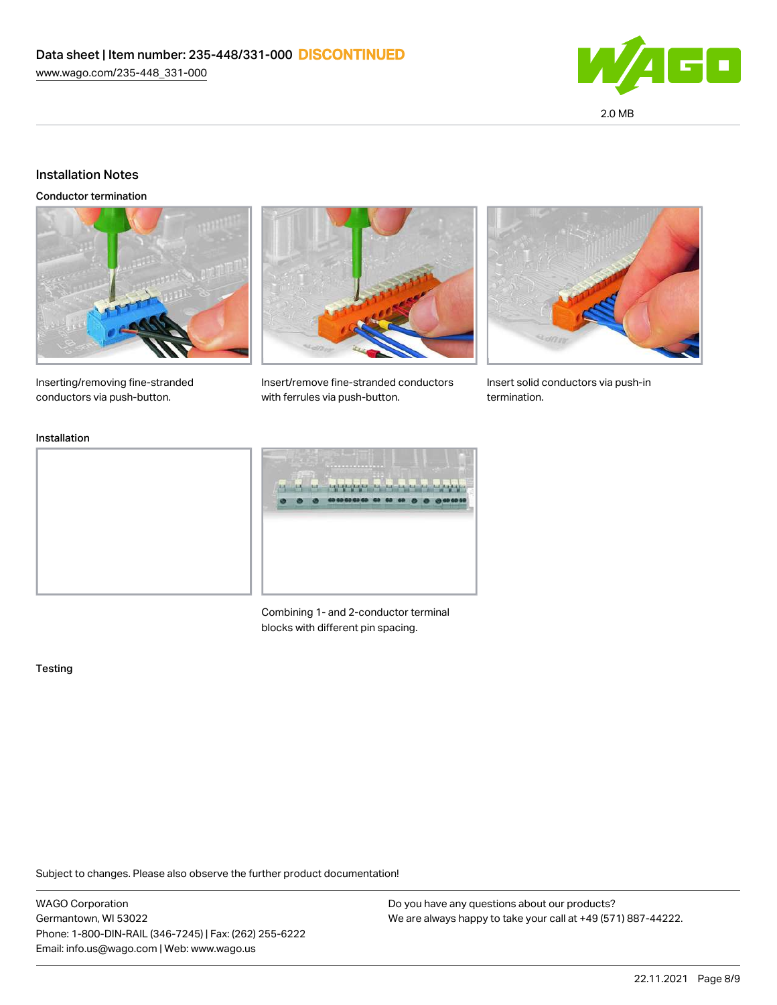

### Installation Notes

Conductor termination





Inserting/removing fine-stranded conductors via push-button.

Insert/remove fine-stranded conductors with ferrules via push-button.

Insert solid conductors via push-in termination.

#### Installation



Combining 1- and 2-conductor terminal blocks with different pin spacing.

#### **Testing**

Subject to changes. Please also observe the further product documentation!

WAGO Corporation Germantown, WI 53022 Phone: 1-800-DIN-RAIL (346-7245) | Fax: (262) 255-6222 Email: info.us@wago.com | Web: www.wago.us